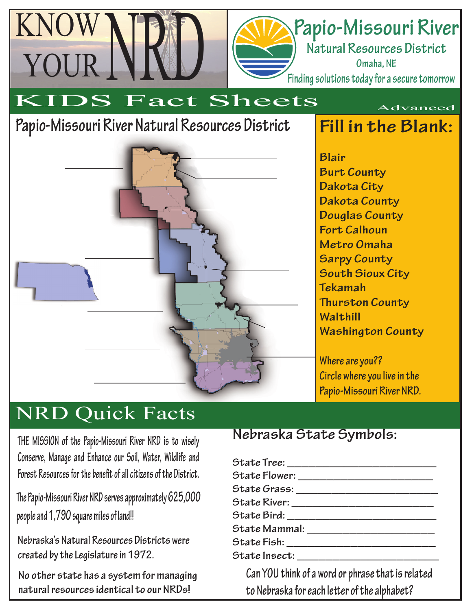# **Papio-Missouri River**

**Natural Resources District Omaha, NE Finding solutions today for a secure tomorrow**

KIDS Fact Sheets

### **Papio-Missouri River Natural Resources District**

KNOW

YOUR



**Fill in the Blank:**

Advanced

**Blair Burt County Dakota City Dakota County Douglas County Fort Calhoun Metro Omaha Sarpy County South Sioux City Tekamah Thurston County Walthill Washington County**

**Where are you?? Circle where you live in the Papio-Missouri River NRD.**

### NRD Quick Facts

**THE MISSION of the Papio-Missouri River NRD is to wisely Conserve, Manage and Enhance our Soil, Water, Wildlife and**  Forest Resources for the benefit of all citizens of the District.

**The Papio-Missouri River NRD serves approximately 625,000 people and 1,790 square miles of land!!**

**Nebraska's Natural Resources Districts were created by the Legislature in 1972.**

**No other state has a system for managing natural resources identical to our NRDs!**

#### **Nebraska State Symbols:**

| State Tree: ______________________________ |
|--------------------------------------------|
|                                            |
|                                            |
|                                            |
|                                            |
| State Mammal: _______________________      |
|                                            |
| State Insect: __________________________   |
|                                            |

**Can YOU think of a word or phrase that is related**  to Nebraska for each letter of the alphabet?